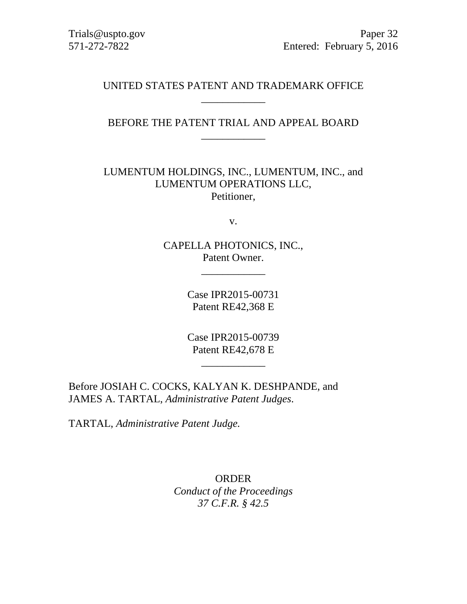Trials@uspto.gov Paper 32 571-272-7822 Entered: February 5, 2016

### UNITED STATES PATENT AND TRADEMARK OFFICE \_\_\_\_\_\_\_\_\_\_\_\_

BEFORE THE PATENT TRIAL AND APPEAL BOARD \_\_\_\_\_\_\_\_\_\_\_\_

LUMENTUM HOLDINGS, INC., LUMENTUM, INC., and LUMENTUM OPERATIONS LLC, Petitioner,

v.

CAPELLA PHOTONICS, INC., Patent Owner.

\_\_\_\_\_\_\_\_\_\_\_\_

Case IPR2015-00731 Patent RE42,368 E

Case IPR2015-00739 Patent RE42,678 E

\_\_\_\_\_\_\_\_\_\_\_\_

Before JOSIAH C. COCKS, KALYAN K. DESHPANDE, and JAMES A. TARTAL, *Administrative Patent Judges*.

TARTAL, *Administrative Patent Judge.*

ORDER *Conduct of the Proceedings 37 C.F.R. § 42.5*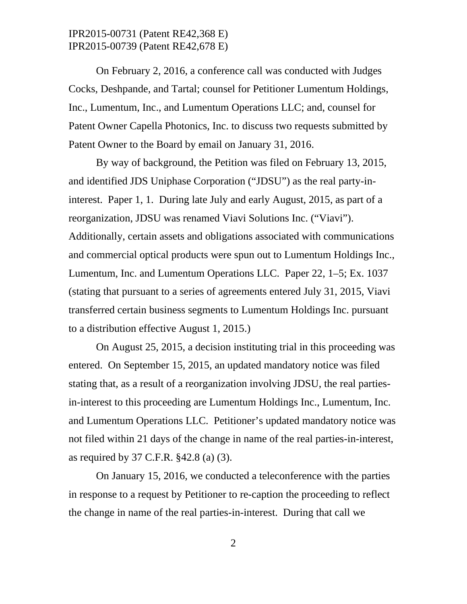On February 2, 2016, a conference call was conducted with Judges Cocks, Deshpande, and Tartal; counsel for Petitioner Lumentum Holdings, Inc., Lumentum, Inc., and Lumentum Operations LLC; and, counsel for Patent Owner Capella Photonics, Inc. to discuss two requests submitted by Patent Owner to the Board by email on January 31, 2016.

By way of background, the Petition was filed on February 13, 2015, and identified JDS Uniphase Corporation ("JDSU") as the real party-ininterest. Paper 1, 1. During late July and early August, 2015, as part of a reorganization, JDSU was renamed Viavi Solutions Inc. ("Viavi"). Additionally, certain assets and obligations associated with communications and commercial optical products were spun out to Lumentum Holdings Inc., Lumentum, Inc. and Lumentum Operations LLC. Paper 22, 1–5; Ex. 1037 (stating that pursuant to a series of agreements entered July 31, 2015, Viavi transferred certain business segments to Lumentum Holdings Inc. pursuant to a distribution effective August 1, 2015.)

On August 25, 2015, a decision instituting trial in this proceeding was entered. On September 15, 2015, an updated mandatory notice was filed stating that, as a result of a reorganization involving JDSU, the real partiesin-interest to this proceeding are Lumentum Holdings Inc., Lumentum, Inc. and Lumentum Operations LLC. Petitioner's updated mandatory notice was not filed within 21 days of the change in name of the real parties-in-interest, as required by 37 C.F.R. §42.8 (a) (3).

On January 15, 2016, we conducted a teleconference with the parties in response to a request by Petitioner to re-caption the proceeding to reflect the change in name of the real parties-in-interest. During that call we

2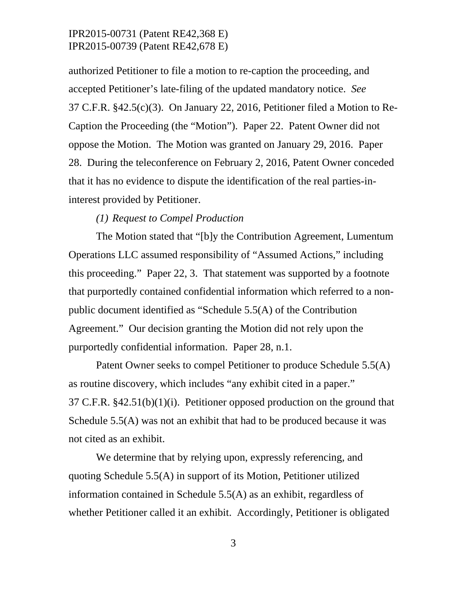authorized Petitioner to file a motion to re-caption the proceeding, and accepted Petitioner's late-filing of the updated mandatory notice. *See* 37 C.F.R. §42.5(c)(3). On January 22, 2016, Petitioner filed a Motion to Re-Caption the Proceeding (the "Motion"). Paper 22. Patent Owner did not oppose the Motion. The Motion was granted on January 29, 2016. Paper 28. During the teleconference on February 2, 2016, Patent Owner conceded that it has no evidence to dispute the identification of the real parties-ininterest provided by Petitioner.

#### *(1) Request to Compel Production*

The Motion stated that "[b]y the Contribution Agreement, Lumentum Operations LLC assumed responsibility of "Assumed Actions," including this proceeding." Paper 22, 3. That statement was supported by a footnote that purportedly contained confidential information which referred to a nonpublic document identified as "Schedule 5.5(A) of the Contribution Agreement." Our decision granting the Motion did not rely upon the purportedly confidential information. Paper 28, n.1.

Patent Owner seeks to compel Petitioner to produce Schedule 5.5(A) as routine discovery, which includes "any exhibit cited in a paper." 37 C.F.R. §42.51(b)(1)(i). Petitioner opposed production on the ground that Schedule 5.5(A) was not an exhibit that had to be produced because it was not cited as an exhibit.

We determine that by relying upon, expressly referencing, and quoting Schedule 5.5(A) in support of its Motion, Petitioner utilized information contained in Schedule 5.5(A) as an exhibit, regardless of whether Petitioner called it an exhibit. Accordingly, Petitioner is obligated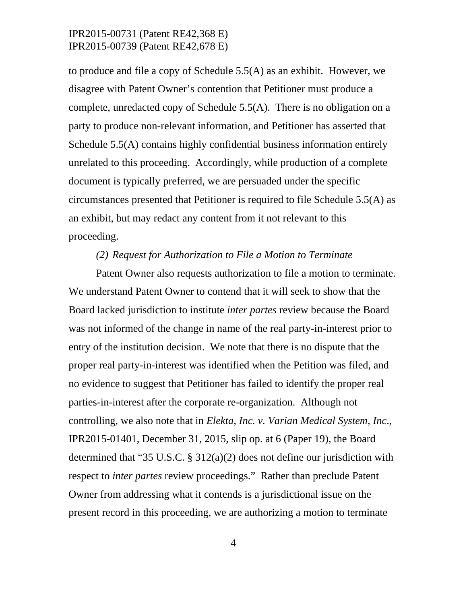to produce and file a copy of Schedule 5.5(A) as an exhibit. However, we disagree with Patent Owner's contention that Petitioner must produce a complete, unredacted copy of Schedule 5.5(A). There is no obligation on a party to produce non-relevant information, and Petitioner has asserted that Schedule 5.5(A) contains highly confidential business information entirely unrelated to this proceeding. Accordingly, while production of a complete document is typically preferred, we are persuaded under the specific circumstances presented that Petitioner is required to file Schedule 5.5(A) as an exhibit, but may redact any content from it not relevant to this proceeding.

### *(2) Request for Authorization to File a Motion to Terminate*

Patent Owner also requests authorization to file a motion to terminate. We understand Patent Owner to contend that it will seek to show that the Board lacked jurisdiction to institute *inter partes* review because the Board was not informed of the change in name of the real party-in-interest prior to entry of the institution decision. We note that there is no dispute that the proper real party-in-interest was identified when the Petition was filed, and no evidence to suggest that Petitioner has failed to identify the proper real parties-in-interest after the corporate re-organization. Although not controlling, we also note that in *Elekta, Inc. v. Varian Medical System, Inc*., IPR2015-01401, December 31, 2015, slip op. at 6 (Paper 19), the Board determined that "35 U.S.C. § 312(a)(2) does not define our jurisdiction with respect to *inter partes* review proceedings." Rather than preclude Patent Owner from addressing what it contends is a jurisdictional issue on the present record in this proceeding, we are authorizing a motion to terminate

4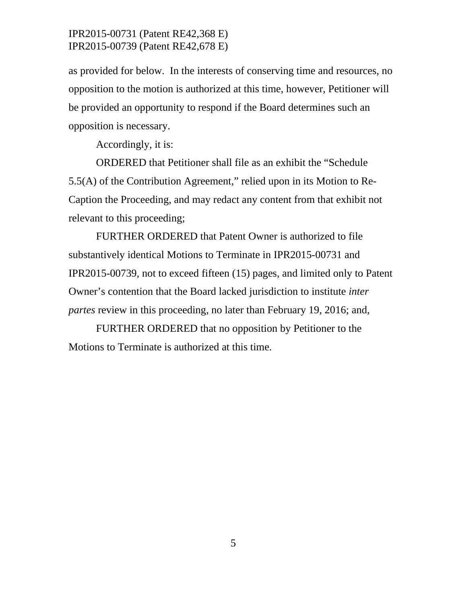as provided for below. In the interests of conserving time and resources, no opposition to the motion is authorized at this time, however, Petitioner will be provided an opportunity to respond if the Board determines such an opposition is necessary.

Accordingly, it is:

ORDERED that Petitioner shall file as an exhibit the "Schedule 5.5(A) of the Contribution Agreement," relied upon in its Motion to Re-Caption the Proceeding, and may redact any content from that exhibit not relevant to this proceeding;

FURTHER ORDERED that Patent Owner is authorized to file substantively identical Motions to Terminate in IPR2015-00731 and IPR2015-00739, not to exceed fifteen (15) pages, and limited only to Patent Owner's contention that the Board lacked jurisdiction to institute *inter partes* review in this proceeding, no later than February 19, 2016; and,

FURTHER ORDERED that no opposition by Petitioner to the Motions to Terminate is authorized at this time.